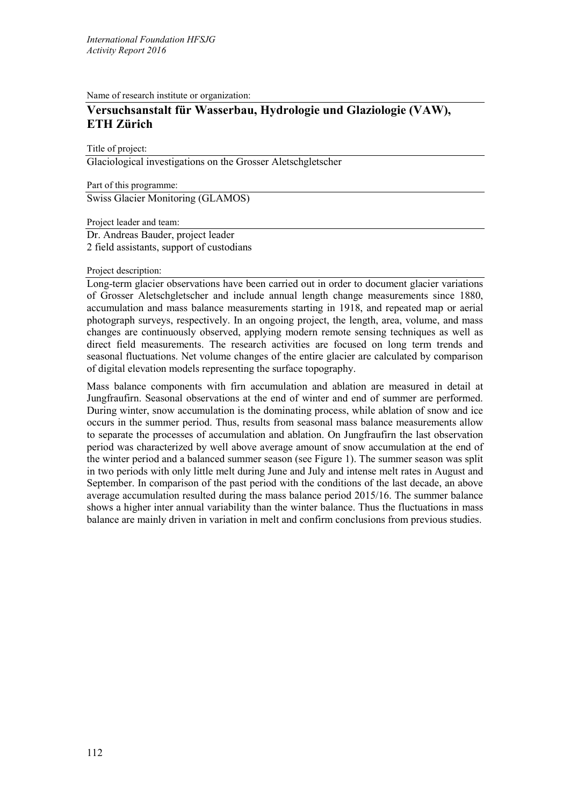Name of research institute or organization:

## **Versuchsanstalt für Wasserbau, Hydrologie und Glaziologie (VAW), ETH Zürich**

Title of project:

Glaciological investigations on the Grosser Aletschgletscher

Part of this programme: Swiss Glacier Monitoring (GLAMOS)

Project leader and team: Dr. Andreas Bauder, project leader 2 field assistants, support of custodians

## Project description:

Long-term glacier observations have been carried out in order to document glacier variations of Grosser Aletschgletscher and include annual length change measurements since 1880, accumulation and mass balance measurements starting in 1918, and repeated map or aerial photograph surveys, respectively. In an ongoing project, the length, area, volume, and mass changes are continuously observed, applying modern remote sensing techniques as well as direct field measurements. The research activities are focused on long term trends and seasonal fluctuations. Net volume changes of the entire glacier are calculated by comparison of digital elevation models representing the surface topography.

Mass balance components with firn accumulation and ablation are measured in detail at Jungfraufirn. Seasonal observations at the end of winter and end of summer are performed. During winter, snow accumulation is the dominating process, while ablation of snow and ice occurs in the summer period. Thus, results from seasonal mass balance measurements allow to separate the processes of accumulation and ablation. On Jungfraufirn the last observation period was characterized by well above average amount of snow accumulation at the end of the winter period and a balanced summer season (see Figure 1). The summer season was split in two periods with only little melt during June and July and intense melt rates in August and September. In comparison of the past period with the conditions of the last decade, an above average accumulation resulted during the mass balance period 2015/16. The summer balance shows a higher inter annual variability than the winter balance. Thus the fluctuations in mass balance are mainly driven in variation in melt and confirm conclusions from previous studies.